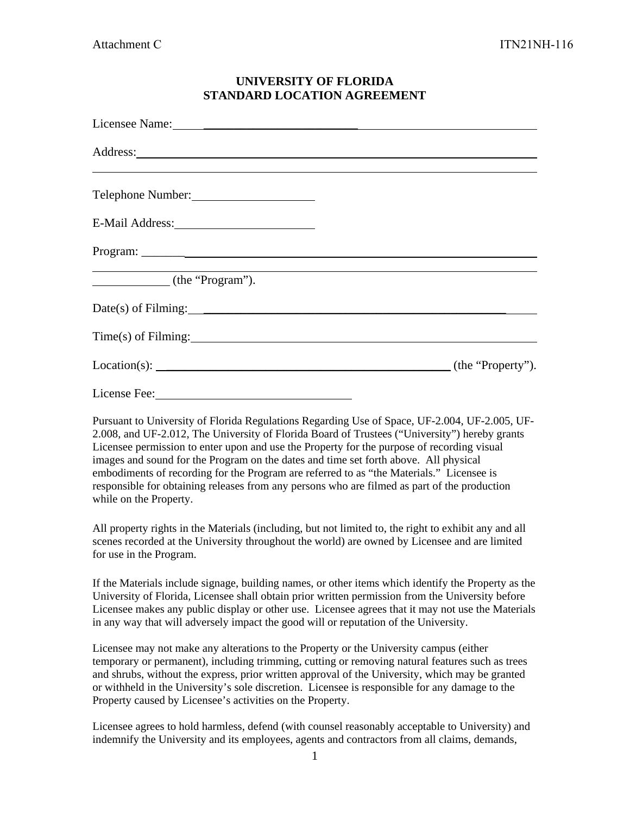## **UNIVERSITY OF FLORIDA STANDARD LOCATION AGREEMENT**

| Licensee Name: 1988 and 1988 and 1988 and 1988 and 1988 and 1988 and 1988 and 1988 and 1988 and 1988 and 1988 and 1988 and 1988 and 1988 and 1988 and 1988 and 1988 and 1988 and 1988 and 1988 and 1988 and 1988 and 1988 and |  |
|-------------------------------------------------------------------------------------------------------------------------------------------------------------------------------------------------------------------------------|--|
| <u> 2000 - Andrea Andrewski, amerikansk politik (d. 1989)</u>                                                                                                                                                                 |  |
| Telephone Number:                                                                                                                                                                                                             |  |
| E-Mail Address: 1988 1999                                                                                                                                                                                                     |  |
|                                                                                                                                                                                                                               |  |
| (the "Program").                                                                                                                                                                                                              |  |
|                                                                                                                                                                                                                               |  |
| Time(s) of Filming: 1997                                                                                                                                                                                                      |  |
| $Location(s):$ $(the "Property").$                                                                                                                                                                                            |  |
|                                                                                                                                                                                                                               |  |

Pursuant to University of Florida Regulations Regarding Use of Space, UF-2.004, UF-2.005, UF-2.008, and UF-2.012, The University of Florida Board of Trustees ("University") hereby grants Licensee permission to enter upon and use the Property for the purpose of recording visual images and sound for the Program on the dates and time set forth above. All physical embodiments of recording for the Program are referred to as "the Materials." Licensee is responsible for obtaining releases from any persons who are filmed as part of the production while on the Property.

All property rights in the Materials (including, but not limited to, the right to exhibit any and all scenes recorded at the University throughout the world) are owned by Licensee and are limited for use in the Program.

If the Materials include signage, building names, or other items which identify the Property as the University of Florida, Licensee shall obtain prior written permission from the University before Licensee makes any public display or other use. Licensee agrees that it may not use the Materials in any way that will adversely impact the good will or reputation of the University.

Licensee may not make any alterations to the Property or the University campus (either temporary or permanent), including trimming, cutting or removing natural features such as trees and shrubs, without the express, prior written approval of the University, which may be granted or withheld in the University's sole discretion. Licensee is responsible for any damage to the Property caused by Licensee's activities on the Property.

Licensee agrees to hold harmless, defend (with counsel reasonably acceptable to University) and indemnify the University and its employees, agents and contractors from all claims, demands,